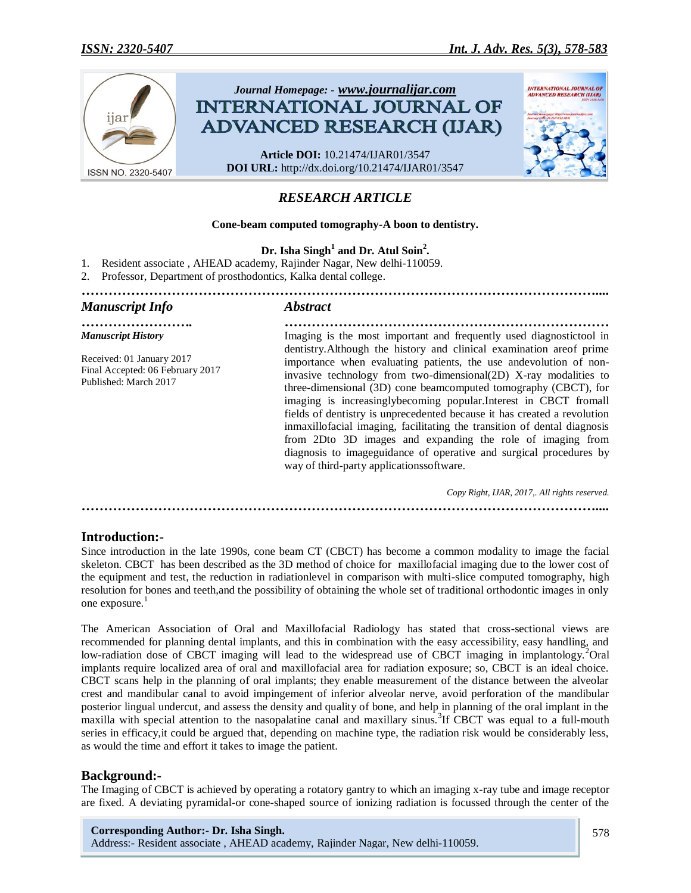

# *RESEARCH ARTICLE*

#### **Cone-beam computed tomography-A boon to dentistry.**

**Dr. Isha Singh<sup>1</sup> and Dr. Atul Soin<sup>2</sup> .**

- 1. Resident associate , AHEAD academy, Rajinder Nagar, New delhi-110059.
- 2. Professor, Department of prosthodontics, Kalka dental college.

# *…………………………………………………………………………………………………….... Manuscript Info Abstract ……………………. ………………………………………………………………*

*Manuscript History*

Received: 01 January 2017 Final Accepted: 06 February 2017 Published: March 2017

Imaging is the most important and frequently used diagnostictool in dentistry.Although the history and clinical examination areof prime importance when evaluating patients, the use andevolution of noninvasive technology from two-dimensional(2D) X-ray modalities to three-dimensional (3D) cone beamcomputed tomography (CBCT), for imaging is increasinglybecoming popular.Interest in CBCT fromall fields of dentistry is unprecedented because it has created a revolution inmaxillofacial imaging, facilitating the transition of dental diagnosis from 2Dto 3D images and expanding the role of imaging from diagnosis to imageguidance of operative and surgical procedures by way of third-party applicationssoftware.

 *Copy Right, IJAR, 2017,. All rights reserved.*

*……………………………………………………………………………………………………....*

# **Introduction:-**

Since introduction in the late 1990s, cone beam CT (CBCT) has become a common modality to image the facial skeleton. CBCT has been described as the 3D method of choice for maxillofacial imaging due to the lower cost of the equipment and test, the reduction in radiationlevel in comparison with multi-slice computed tomography, high resolution for bones and teeth,and the possibility of obtaining the whole set of traditional orthodontic images in only one exposure.<sup>1</sup>

The American Association of Oral and Maxillofacial Radiology has stated that cross-sectional views are recommended for planning dental implants, and this in combination with the easy accessibility, easy handling, and low-radiation dose of CBCT imaging will lead to the widespread use of CBCT imaging in implantology.<sup>2</sup>Oral implants require localized area of oral and maxillofacial area for radiation exposure; so, CBCT is an ideal choice. CBCT scans help in the planning of oral implants; they enable measurement of the distance between the alveolar crest and mandibular canal to avoid impingement of inferior alveolar nerve, avoid perforation of the mandibular posterior lingual undercut, and assess the density and quality of bone, and help in planning of the oral implant in the maxilla with special attention to the nasopalatine canal and maxillary sinus.<sup>3</sup>If CBCT was equal to a full-mouth series in efficacy,it could be argued that, depending on machine type, the radiation risk would be considerably less, as would the time and effort it takes to image the patient.

# **Background:-**

The Imaging of CBCT is achieved by operating a rotatory gantry to which an imaging x-ray tube and image receptor are fixed. A deviating pyramidal-or cone-shaped source of ionizing radiation is focussed through the center of the

**Corresponding Author:- Dr. Isha Singh.** Address:- Resident associate , AHEAD academy, Rajinder Nagar, New delhi-110059.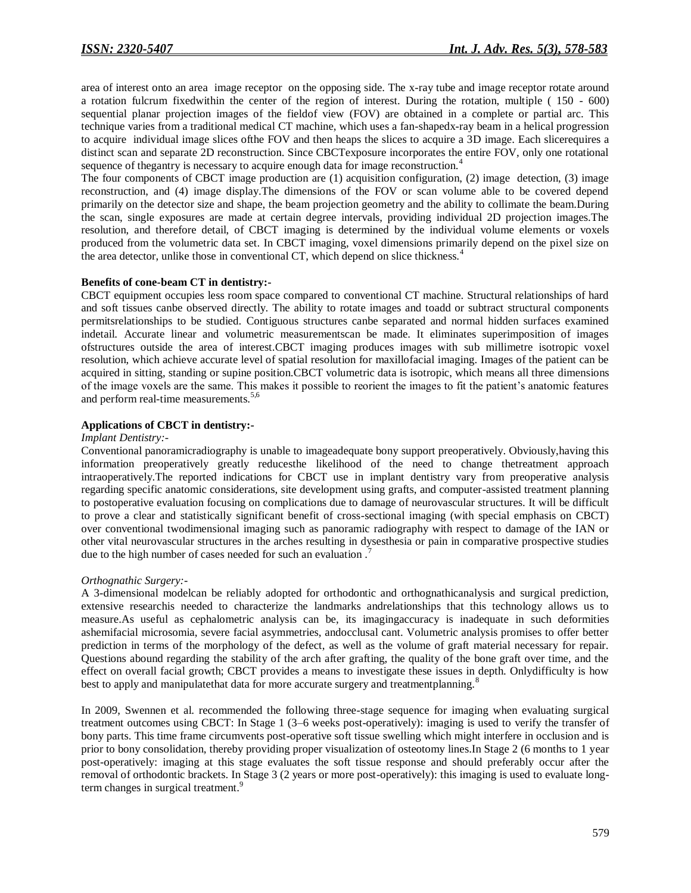area of interest onto an area image receptor on the opposing side. The x-ray tube and image receptor rotate around a rotation fulcrum fixedwithin the center of the region of interest. During the rotation, multiple ( 150 - 600) sequential planar projection images of the fieldof view (FOV) are obtained in a complete or partial arc. This technique varies from a traditional medical CT machine, which uses a fan-shapedx-ray beam in a helical progression to acquire individual image slices ofthe FOV and then heaps the slices to acquire a 3D image. Each slicerequires a distinct scan and separate 2D reconstruction. Since CBCTexposure incorporates the entire FOV, only one rotational sequence of thegantry is necessary to acquire enough data for image reconstruction.<sup>4</sup>

The four components of CBCT image production are (1) acquisition configuration, (2) image detection, (3) image reconstruction, and (4) image display.The dimensions of the FOV or scan volume able to be covered depend primarily on the detector size and shape, the beam projection geometry and the ability to collimate the beam.During the scan, single exposures are made at certain degree intervals, providing individual 2D projection images.The resolution, and therefore detail, of CBCT imaging is determined by the individual volume elements or voxels produced from the volumetric data set. In CBCT imaging, voxel dimensions primarily depend on the pixel size on the area detector, unlike those in conventional CT, which depend on slice thickness.<sup>4</sup>

#### **Benefits of cone-beam CT in dentistry:-**

CBCT equipment occupies less room space compared to conventional CT machine. Structural relationships of hard and soft tissues canbe observed directly. The ability to rotate images and toadd or subtract structural components permitsrelationships to be studied. Contiguous structures canbe separated and normal hidden surfaces examined indetail. Accurate linear and volumetric measurementscan be made. It eliminates superimposition of images ofstructures outside the area of interest.CBCT imaging produces images with sub millimetre isotropic voxel resolution, which achieve accurate level of spatial resolution for maxillofacial imaging. Images of the patient can be acquired in sitting, standing or supine position.CBCT volumetric data is isotropic, which means all three dimensions of the image voxels are the same. This makes it possible to reorient the images to fit the patient's anatomic features and perform real-time measurements.<sup>5,6</sup>

### **Applications of CBCT in dentistry:-**

#### *Implant Dentistry:-*

Conventional panoramicradiography is unable to imageadequate bony support preoperatively. Obviously,having this information preoperatively greatly reducesthe likelihood of the need to change thetreatment approach intraoperatively.The reported indications for CBCT use in implant dentistry vary from preoperative analysis regarding specific anatomic considerations, site development using grafts, and computer-assisted treatment planning to postoperative evaluation focusing on complications due to damage of neurovascular structures. It will be difficult to prove a clear and statistically significant benefit of cross-sectional imaging (with special emphasis on CBCT) over conventional twodimensional imaging such as panoramic radiography with respect to damage of the IAN or other vital neurovascular structures in the arches resulting in dysesthesia or pain in comparative prospective studies due to the high number of cases needed for such an evaluation.

#### *Orthognathic Surgery:-*

A 3-dimensional modelcan be reliably adopted for orthodontic and orthognathicanalysis and surgical prediction, extensive researchis needed to characterize the landmarks andrelationships that this technology allows us to measure.As useful as cephalometric analysis can be, its imagingaccuracy is inadequate in such deformities ashemifacial microsomia, severe facial asymmetries, andocclusal cant. Volumetric analysis promises to offer better prediction in terms of the morphology of the defect, as well as the volume of graft material necessary for repair. Questions abound regarding the stability of the arch after grafting, the quality of the bone graft over time, and the effect on overall facial growth; CBCT provides a means to investigate these issues in depth. Onlydifficulty is how best to apply and manipulate that data for more accurate surgery and treatmentplanning.<sup>8</sup>

In 2009, Swennen et al. recommended the following three-stage sequence for imaging when evaluating surgical treatment outcomes using CBCT: In Stage 1 (3–6 weeks post-operatively): imaging is used to verify the transfer of bony parts. This time frame circumvents post-operative soft tissue swelling which might interfere in occlusion and is prior to bony consolidation, thereby providing proper visualization of osteotomy lines.In Stage 2 (6 months to 1 year post-operatively: imaging at this stage evaluates the soft tissue response and should preferably occur after the removal of orthodontic brackets. In Stage 3 (2 years or more post-operatively): this imaging is used to evaluate longterm changes in surgical treatment.<sup>9</sup>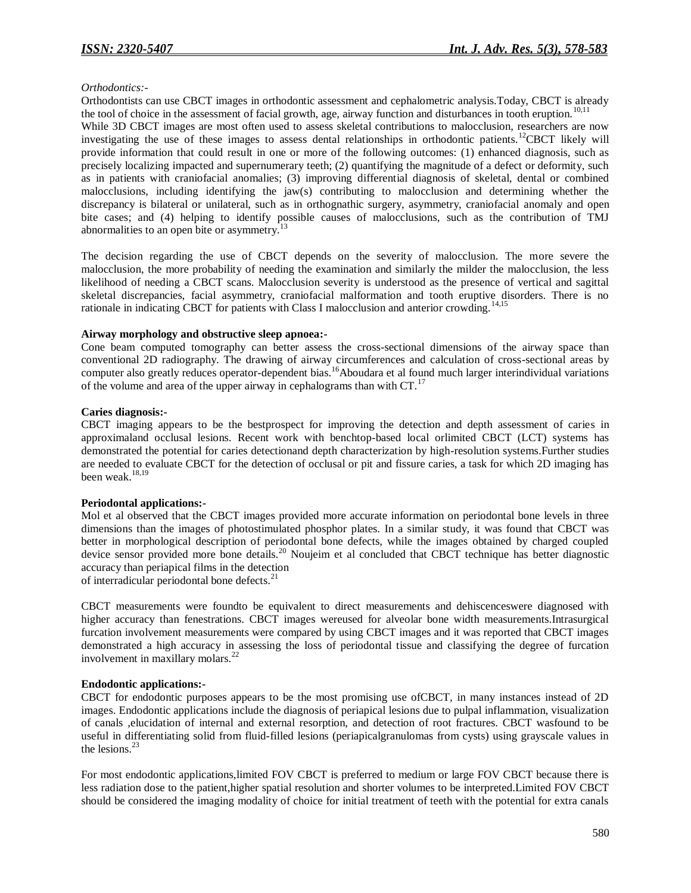### *Orthodontics:-*

Orthodontists can use CBCT images in orthodontic assessment and cephalometric analysis.Today, CBCT is already the tool of choice in the assessment of facial growth, age, airway function and disturbances in tooth eruption.<sup>10,11</sup> While 3D CBCT images are most often used to assess skeletal contributions to malocclusion, researchers are now investigating the use of these images to assess dental relationships in orthodontic patients.<sup>12</sup>CBCT likely will provide information that could result in one or more of the following outcomes: (1) enhanced diagnosis, such as precisely localizing impacted and supernumerary teeth; (2) quantifying the magnitude of a defect or deformity, such as in patients with craniofacial anomalies; (3) improving differential diagnosis of skeletal, dental or combined malocclusions, including identifying the jaw(s) contributing to malocclusion and determining whether the discrepancy is bilateral or unilateral, such as in orthognathic surgery, asymmetry, craniofacial anomaly and open bite cases; and (4) helping to identify possible causes of malocclusions, such as the contribution of TMJ abnormalities to an open bite or asymmetry.<sup>13</sup>

The decision regarding the use of CBCT depends on the severity of malocclusion. The more severe the malocclusion, the more probability of needing the examination and similarly the milder the malocclusion, the less likelihood of needing a CBCT scans. Malocclusion severity is understood as the presence of vertical and sagittal skeletal discrepancies, facial asymmetry, craniofacial malformation and tooth eruptive disorders. There is no rationale in indicating CBCT for patients with Class I malocclusion and anterior crowding.<sup>14,15</sup>

### **Airway morphology and obstructive sleep apnoea:-**

Cone beam computed tomography can better assess the cross-sectional dimensions of the airway space than conventional 2D radiography. The drawing of airway circumferences and calculation of cross-sectional areas by computer also greatly reduces operator-dependent bias.<sup>16</sup>Aboudara et al found much larger interindividual variations of the volume and area of the upper airway in cephalograms than with  $CT$ .<sup>17</sup>

### **Caries diagnosis:-**

CBCT imaging appears to be the bestprospect for improving the detection and depth assessment of caries in approximaland occlusal lesions. Recent work with benchtop-based local orlimited CBCT (LCT) systems has demonstrated the potential for caries detectionand depth characterization by high-resolution systems.Further studies are needed to evaluate CBCT for the detection of occlusal or pit and fissure caries, a task for which 2D imaging has been weak.<sup>18,19</sup>

### **Periodontal applications:-**

Mol et al observed that the CBCT images provided more accurate information on periodontal bone levels in three dimensions than the images of photostimulated phosphor plates. In a similar study, it was found that CBCT was better in morphological description of periodontal bone defects, while the images obtained by charged coupled device sensor provided more bone details.<sup>20</sup> Noujeim et al concluded that CBCT technique has better diagnostic accuracy than periapical films in the detection

of interradicular periodontal bone defects.<sup>21</sup>

CBCT measurements were foundto be equivalent to direct measurements and dehiscenceswere diagnosed with higher accuracy than fenestrations. CBCT images wereused for alveolar bone width measurements.Intrasurgical furcation involvement measurements were compared by using CBCT images and it was reported that CBCT images demonstrated a high accuracy in assessing the loss of periodontal tissue and classifying the degree of furcation involvement in maxillary molars.<sup>22</sup>

#### **Endodontic applications:-**

CBCT for endodontic purposes appears to be the most promising use ofCBCT, in many instances instead of 2D images. Endodontic applications include the diagnosis of periapical lesions due to pulpal inflammation, visualization of canals ,elucidation of internal and external resorption, and detection of root fractures. CBCT wasfound to be useful in differentiating solid from fluid-filled lesions (periapicalgranulomas from cysts) using grayscale values in the lesions. $^{23}$ 

For most endodontic applications,limited FOV CBCT is preferred to medium or large FOV CBCT because there is less radiation dose to the patient,higher spatial resolution and shorter volumes to be interpreted.Limited FOV CBCT should be considered the imaging modality of choice for initial treatment of teeth with the potential for extra canals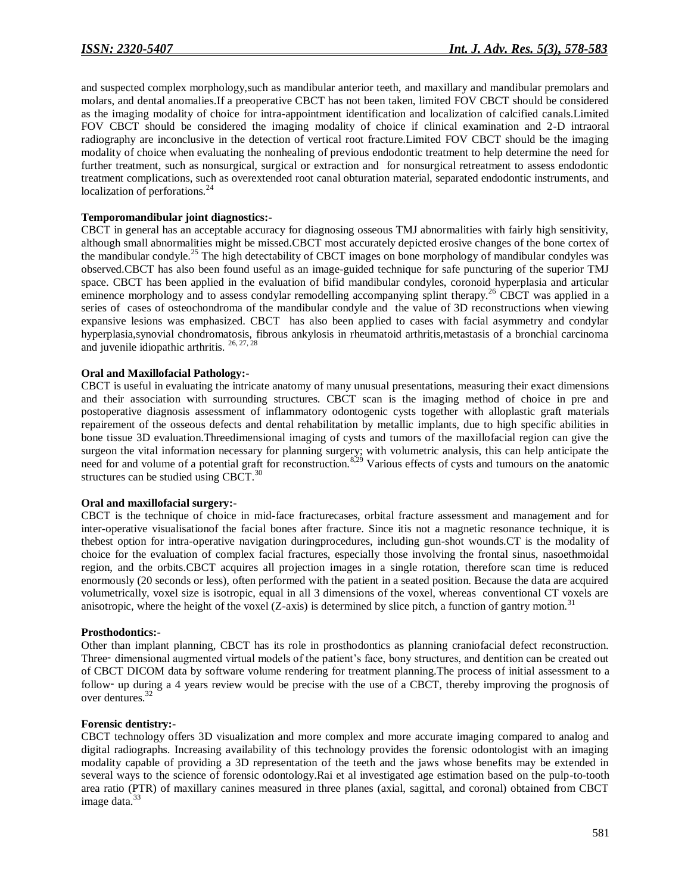and suspected complex morphology,such as mandibular anterior teeth, and maxillary and mandibular premolars and molars, and dental anomalies.If a preoperative CBCT has not been taken, limited FOV CBCT should be considered as the imaging modality of choice for intra-appointment identification and localization of calcified canals.Limited FOV CBCT should be considered the imaging modality of choice if clinical examination and 2-D intraoral radiography are inconclusive in the detection of vertical root fracture.Limited FOV CBCT should be the imaging modality of choice when evaluating the nonhealing of previous endodontic treatment to help determine the need for further treatment, such as nonsurgical, surgical or extraction and for nonsurgical retreatment to assess endodontic treatment complications, such as overextended root canal obturation material, separated endodontic instruments, and localization of perforations.<sup>24</sup>

#### **Temporomandibular joint diagnostics:-**

CBCT in general has an acceptable accuracy for diagnosing osseous TMJ abnormalities with fairly high sensitivity, although small abnormalities might be missed.CBCT most accurately depicted erosive changes of the bone cortex of the mandibular condyle.<sup>25</sup> The high detectability of CBCT images on bone morphology of mandibular condyles was observed.CBCT has also been found useful as an image-guided technique for safe puncturing of the superior TMJ space. CBCT has been applied in the evaluation of bifid mandibular condyles, coronoid hyperplasia and articular eminence morphology and to assess condylar remodelling accompanying splint therapy.<sup>26</sup> CBCT was applied in a series of cases of osteochondroma of the mandibular condyle and the value of 3D reconstructions when viewing expansive lesions was emphasized. CBCT has also been applied to cases with facial asymmetry and condylar hyperplasia,synovial chondromatosis, fibrous ankylosis in rheumatoid arthritis,metastasis of a bronchial carcinoma and juvenile idiopathic arthritis.  $26, 27, 28$ 

### **Oral and Maxillofacial Pathology:-**

CBCT is useful in evaluating the intricate anatomy of many unusual presentations, measuring their exact dimensions and their association with surrounding structures. CBCT scan is the imaging method of choice in pre and postoperative diagnosis assessment of inflammatory odontogenic cysts together with alloplastic graft materials repairement of the osseous defects and dental rehabilitation by metallic implants, due to high specific abilities in bone tissue 3D evaluation.Threedimensional imaging of cysts and tumors of the maxillofacial region can give the surgeon the vital information necessary for planning surgery; with volumetric analysis, this can help anticipate the need for and volume of a potential graft for reconstruction.<sup>8,29</sup> Various effects of cysts and tumours on the anatomic structures can be studied using CBCT.<sup>30</sup>

#### **Oral and maxillofacial surgery:-**

CBCT is the technique of choice in mid-face fracturecases, orbital fracture assessment and management and for inter-operative visualisationof the facial bones after fracture. Since itis not a magnetic resonance technique, it is thebest option for intra-operative navigation duringprocedures, including gun-shot wounds.CT is the modality of choice for the evaluation of complex facial fractures, especially those involving the frontal sinus, nasoethmoidal region, and the orbits.CBCT acquires all projection images in a single rotation, therefore scan time is reduced enormously (20 seconds or less), often performed with the patient in a seated position. Because the data are acquired volumetrically, voxel size is isotropic, equal in all 3 dimensions of the voxel, whereas conventional CT voxels are anisotropic, where the height of the voxel (Z-axis) is determined by slice pitch, a function of gantry motion.<sup>31</sup>

### **Prosthodontics:-**

Other than implant planning, CBCT has its role in prosthodontics as planning craniofacial defect reconstruction. Three‑ dimensional augmented virtual models of the patient's face, bony structures, and dentition can be created out of CBCT DICOM data by software volume rendering for treatment planning.The process of initial assessment to a follow‑ up during a 4 years review would be precise with the use of a CBCT, thereby improving the prognosis of over dentures.<sup>32</sup>

#### **Forensic dentistry:-**

CBCT technology offers 3D visualization and more complex and more accurate imaging compared to analog and digital radiographs. Increasing availability of this technology provides the forensic odontologist with an imaging modality capable of providing a 3D representation of the teeth and the jaws whose benefits may be extended in several ways to the science of forensic odontology.Rai et al investigated age estimation based on the pulp-to-tooth area ratio (PTR) of maxillary canines measured in three planes (axial, sagittal, and coronal) obtained from CBCT image data. $33$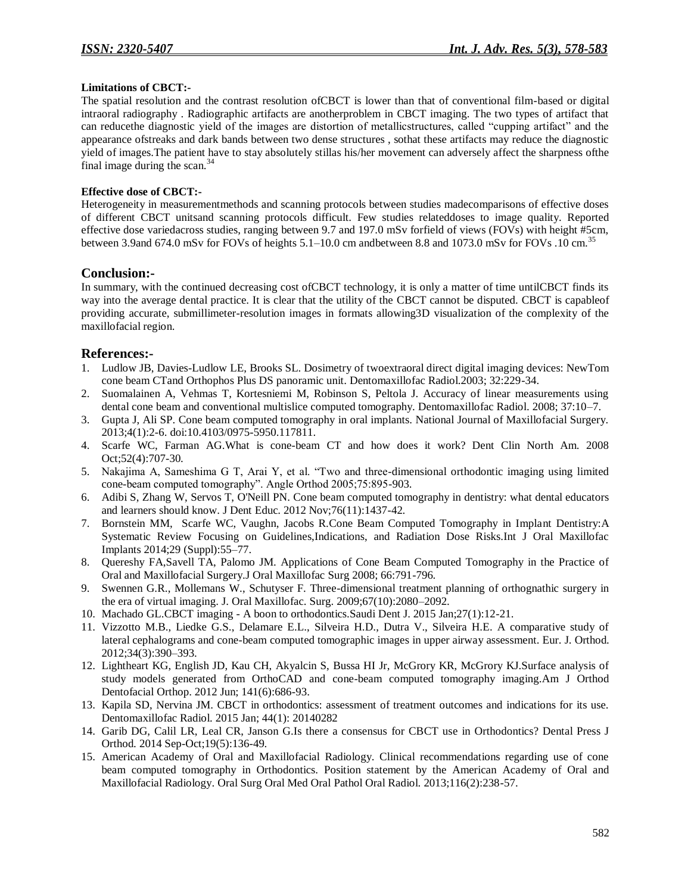### **Limitations of CBCT:-**

The spatial resolution and the contrast resolution ofCBCT is lower than that of conventional film-based or digital intraoral radiography . Radiographic artifacts are anotherproblem in CBCT imaging. The two types of artifact that can reducethe diagnostic yield of the images are distortion of metallicstructures, called "cupping artifact" and the appearance ofstreaks and dark bands between two dense structures , sothat these artifacts may reduce the diagnostic yield of images.The patient have to stay absolutely stillas his/her movement can adversely affect the sharpness ofthe final image during the scan. $34$ 

### **Effective dose of CBCT:-**

Heterogeneity in measurementmethods and scanning protocols between studies madecomparisons of effective doses of different CBCT unitsand scanning protocols difficult. Few studies relateddoses to image quality. Reported effective dose variedacross studies, ranging between 9.7 and 197.0 mSv forfield of views (FOVs) with height #5cm, between 3.9and 674.0 mSv for FOVs of heights 5.1–10.0 cm andbetween 8.8 and 1073.0 mSv for FOVs .10 cm.<sup>35</sup>

# **Conclusion:-**

In summary, with the continued decreasing cost ofCBCT technology, it is only a matter of time untilCBCT finds its way into the average dental practice. It is clear that the utility of the CBCT cannot be disputed. CBCT is capableof providing accurate, submillimeter-resolution images in formats allowing3D visualization of the complexity of the maxillofacial region.

# **References:-**

- 1. Ludlow JB, Davies-Ludlow LE, Brooks SL. Dosimetry of twoextraoral direct digital imaging devices: NewTom cone beam CTand Orthophos Plus DS panoramic unit. Dentomaxillofac Radiol.2003; 32:229-34.
- 2. Suomalainen A, Vehmas T, Kortesniemi M, Robinson S, Peltola J. Accuracy of linear measurements using dental cone beam and conventional multislice computed tomography. Dentomaxillofac Radiol. 2008; 37:10–7.
- 3. Gupta J, Ali SP. Cone beam computed tomography in oral implants. National Journal of Maxillofacial Surgery. 2013;4(1):2-6. doi:10.4103/0975-5950.117811.
- 4. Scarfe WC, Farman AG.What is cone-beam CT and how does it work? Dent Clin North Am. 2008 Oct;52(4):707-30.
- 5. Nakajima A, Sameshima G T, Arai Y, et al. "Two and three-dimensional orthodontic imaging using limited cone-beam computed tomography". Angle Orthod 2005;75:895-903.
- 6. Adibi S, Zhang W, Servos T, O'Neill PN. Cone beam computed tomography in dentistry: what dental educators and learners should know. J Dent Educ. 2012 Nov;76(11):1437-42.
- 7. Bornstein MM, Scarfe WC, Vaughn, Jacobs R.Cone Beam Computed Tomography in Implant Dentistry:A Systematic Review Focusing on Guidelines,Indications, and Radiation Dose Risks.Int J Oral Maxillofac Implants 2014;29 (Suppl):55–77.
- 8. Quereshy FA,Savell TA, Palomo JM. Applications of Cone Beam Computed Tomography in the Practice of Oral and Maxillofacial Surgery.J Oral Maxillofac Surg 2008; 66:791-796.
- 9. Swennen G.R., Mollemans W., Schutyser F. Three-dimensional treatment planning of orthognathic surgery in the era of virtual imaging. J. Oral Maxillofac. Surg. 2009;67(10):2080–2092.
- 10. Machado GL.CBCT imaging A boon to orthodontics.Saudi Dent J. 2015 Jan;27(1):12-21.
- 11. Vizzotto M.B., Liedke G.S., Delamare E.L., Silveira H.D., Dutra V., Silveira H.E. A comparative study of lateral cephalograms and cone-beam computed tomographic images in upper airway assessment. Eur. J. Orthod. 2012;34(3):390–393.
- 12. Lightheart KG, English JD, Kau CH, Akyalcin S, Bussa HI Jr, McGrory KR, McGrory KJ.Surface analysis of study models generated from OrthoCAD and cone-beam computed tomography imaging.Am J Orthod Dentofacial Orthop. 2012 Jun; 141(6):686-93.
- 13. Kapila SD, Nervina JM. CBCT in orthodontics: assessment of treatment outcomes and indications for its use. Dentomaxillofac Radiol. 2015 Jan; 44(1): 20140282
- 14. Garib DG, Calil LR, Leal CR, Janson G.Is there a consensus for CBCT use in Orthodontics? Dental Press J Orthod. 2014 Sep-Oct;19(5):136-49.
- 15. American Academy of Oral and Maxillofacial Radiology. Clinical recommendations regarding use of cone beam computed tomography in Orthodontics. Position statement by the American Academy of Oral and Maxillofacial Radiology. Oral Surg Oral Med Oral Pathol Oral Radiol. 2013;116(2):238-57.